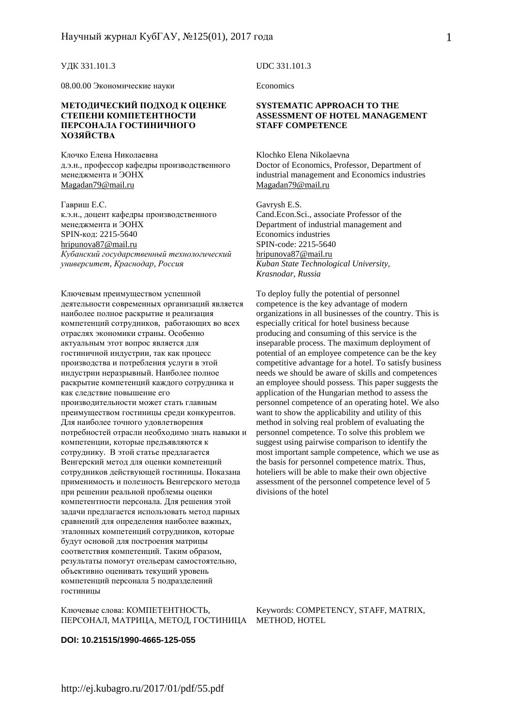УДК 331.101.3

08.00.00 Экономические науки

#### **МЕТОДИЧЕСКИЙ ПОДХОД К ОЦЕНКЕ СТЕПЕНИ КОМПЕТЕНТНОСТИ ПЕРСОНАЛА ГОСТИНИЧНОГО ХОЗЯЙСТВА**

Клочко Елена Николаевна д.э.н., профессор кафедры производственного менеджмента и ЭОНХ Magadan79@mail.ru

Гавриш Е.С. к.э.н., доцент кафедры производственного менеджмента и ЭОНХ SPIN-код: 2215-5640 hripunova87@mail.ru *Кубанский государственный технологический университет, Краснодар, Россия*

Ключевым преимуществом успешной деятельности современных организаций является наиболее полное раскрытие и реализация компетенций сотрудников, работающих во всех отраслях экономики страны. Особенно актуальным этот вопрос является для гостиничной индустрии, так как процесс производства и потребления услуги в этой индустрии неразрывный. Наиболее полное раскрытие компетенций каждого сотрудника и как следствие повышение его производительности может стать главным преимуществом гостиницы среди конкурентов. Для наиболее точного удовлетворения потребностей отрасли необходимо знать навыки и компетенции, которые предъявляются к сотруднику. В этой статье предлагается Венгерский метод для оценки компетенций сотрудников действующей гостиницы. Показана применимость и полезность Венгерского метода при решении реальной проблемы оценки компетентности персонала. Для решения этой задачи предлагается использовать метод парных сравнений для определения наиболее важных, эталонных компетенций сотрудников, которые будут основой для построения матрицы соответствия компетенций. Таким образом, результаты помогут отельерам самостоятельно, объективно оценивать текущий уровень компетенций персонала 5 подразделений гостиницы

Ключевые слова: КОМПЕТЕНТНОСТЬ, ПЕРСОНАЛ, МАТРИЦА, МЕТОД, ГОСТИНИЦА METHOD, HOTEL

UDC 331.101.3

**Economics** 

#### **SYSTEMATIC APPROACH TO THE ASSESSMENT OF HOTEL MANAGEMENT STAFF COMPETENCE**

Klochko Elena Nikolaevna Doctor of Economics, Professor, Department of industrial management and Economics industries Magadan79@mail.ru

Gavrysh E.S. Cand.Econ.Sci., associate Professor of the Department of industrial management and Economics industries SPIN-code: 2215-5640 hripunova87@mail.ru *Kuban State Technological University, Krasnodar, Russia*

To deploy fully the potential of personnel competence is the key advantage of modern organizations in all businesses of the country. This is especially critical for hotel business because producing and consuming of this service is the inseparable process. The maximum deployment of potential of an employee competence can be the key competitive advantage for a hotel. To satisfy business needs we should be aware of skills and competences an employee should possess. This paper suggests the application of the Hungarian method to assess the personnel competence of an operating hotel. We also want to show the applicability and utility of this method in solving real problem of evaluating the personnel competence. To solve this problem we suggest using pairwise comparison to identify the most important sample competence, which we use as the basis for personnel competence matrix. Thus, hoteliers will be able to make their own objective assessment of the personnel competence level of 5 divisions of the hotel

Keywords: COMPETENCY, STAFF, MATRIX,

1

**DOI: 10.21515/1990-4665-125-055**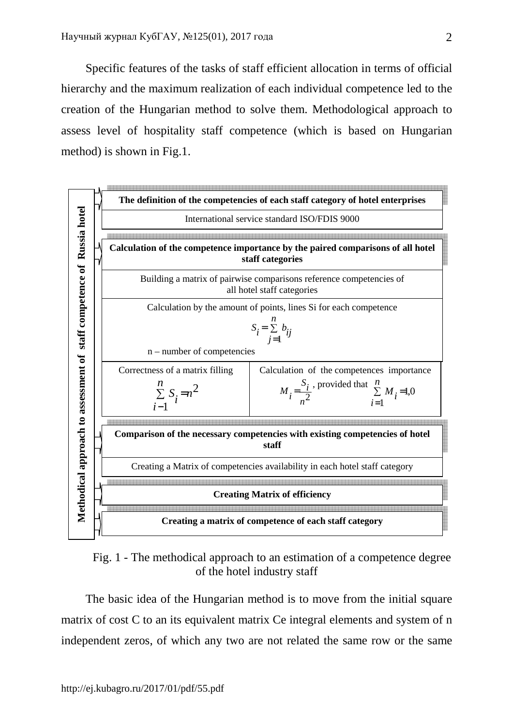Specific features of the tasks of staff efficient allocation in terms of official hierarchy and the maximum realization of each individual competence led to the creation of the Hungarian method to solve them. Methodological approach to assess level of hospitality staff competence (which is based on Hungarian method) is shown in Fig.1.



Fig. 1 - The methodical approach to an estimation of a competence degree of the hotel industry staff

The basic idea of the Hungarian method is to move from the initial square matrix of cost C to an its equivalent matrix Ce integral elements and system of n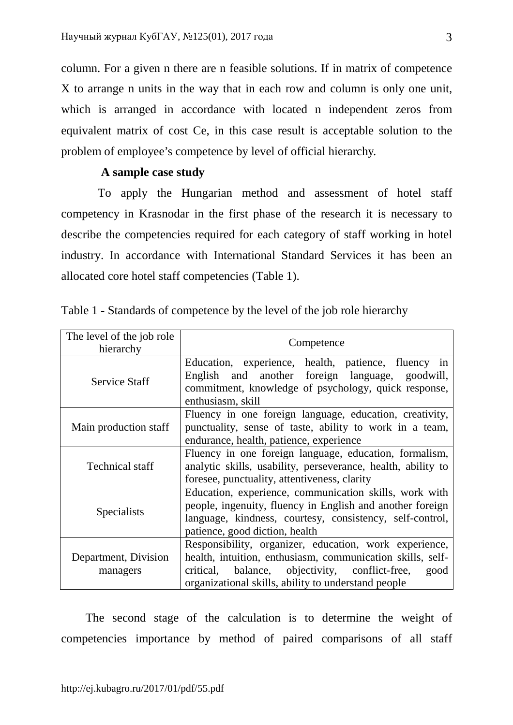column. For a given n there are n feasible solutions. If in matrix of competence X to arrange n units in the way that in each row and column is only one unit, which is arranged in accordance with located n independent zeros from equivalent matrix of cost Ce, in this case result is acceptable solution to the problem of employee's competence by level of official hierarchy.

## **A sample case study**

To apply the Hungarian method and assessment of hotel staff competency in Krasnodar in the first phase of the research it is necessary to describe the competencies required for each category of staff working in hotel industry. In accordance with International Standard Services it has been an allocated core hotel staff competencies (Table 1).

| The level of the job role<br>hierarchy | Competence                                                                                                                                                                                                                            |
|----------------------------------------|---------------------------------------------------------------------------------------------------------------------------------------------------------------------------------------------------------------------------------------|
| <b>Service Staff</b>                   | Education, experience, health, patience, fluency in<br>English and another foreign language, goodwill,<br>commitment, knowledge of psychology, quick response,<br>enthusiasm, skill                                                   |
| Main production staff                  | Fluency in one foreign language, education, creativity,<br>punctuality, sense of taste, ability to work in a team,<br>endurance, health, patience, experience                                                                         |
| <b>Technical staff</b>                 | Fluency in one foreign language, education, formalism,<br>analytic skills, usability, perseverance, health, ability to<br>foresee, punctuality, attentiveness, clarity                                                                |
| Specialists                            | Education, experience, communication skills, work with<br>people, ingenuity, fluency in English and another foreign<br>language, kindness, courtesy, consistency, self-control,<br>patience, good diction, health                     |
| Department, Division<br>managers       | Responsibility, organizer, education, work experience,<br>health, intuition, enthusiasm, communication skills, self-<br>critical, balance, objectivity, conflict-free,<br>good<br>organizational skills, ability to understand people |

Table 1 - Standards of competence by the level of the job role hierarchy

The second stage of the calculation is to determine the weight of competencies importance by method of paired comparisons of all staff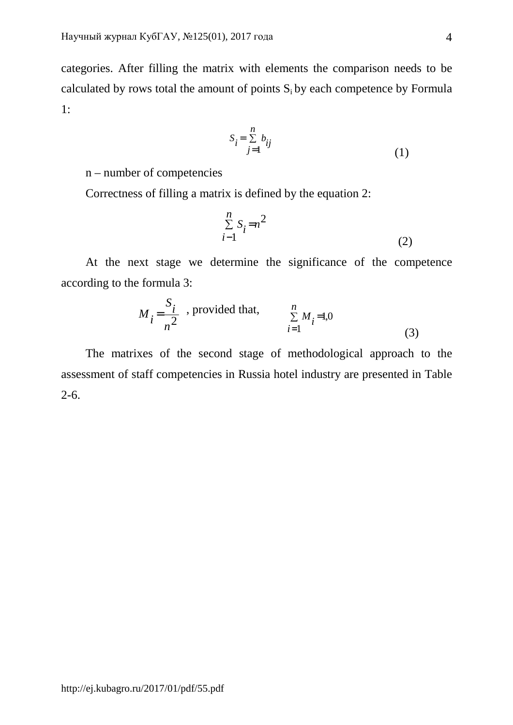categories. After filling the matrix with elements the comparison needs to be calculated by rows total the amount of points  $S_i$  by each competence by Formula 1:

$$
S_i = \sum_{j=1}^{n} b_{ij}
$$
 (1)

n – number of competencies

Correctness of filling a matrix is defined by the equation 2:

$$
\sum_{i=1}^{n} S_i = n^2 \tag{2}
$$

At the next stage we determine the significance of the competence according to the formula 3:

$$
M_{i} = \frac{S_{i}}{n^{2}}
$$
, provided that, 
$$
\sum_{i=1}^{n} M_{i} = 1,0
$$
 (3)

The matrixes of the second stage of methodological approach to the assessment of staff competencies in Russia hotel industry are presented in Table 2-6.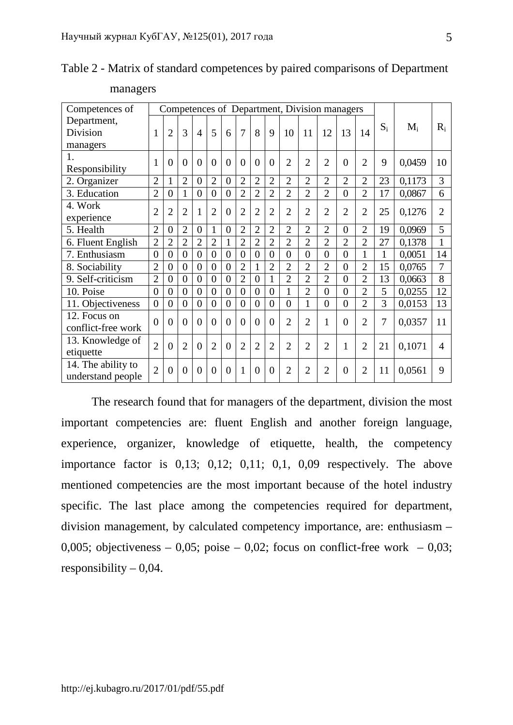| Competences of     |                | Competences of Department, Division managers |                |                |                |                |                |                |                |                |                |                |                |                |              |        |                |
|--------------------|----------------|----------------------------------------------|----------------|----------------|----------------|----------------|----------------|----------------|----------------|----------------|----------------|----------------|----------------|----------------|--------------|--------|----------------|
| Department,        |                |                                              |                |                |                |                |                |                |                |                |                |                |                |                | $S_i$        | $M_i$  | $R_i$          |
| Division           | 1              | $\overline{2}$                               | 3              | $\overline{4}$ | 5              | 6              | $\overline{7}$ | 8              | 9              | 10             | 11             | 12             | 13             | 14             |              |        |                |
| managers           |                |                                              |                |                |                |                |                |                |                |                |                |                |                |                |              |        |                |
| 1.                 | $\mathbf{1}$   | $\theta$                                     | $\theta$       | $\theta$       | $\theta$       | $\overline{0}$ | $\theta$       | $\overline{0}$ | $\overline{0}$ | $\overline{2}$ | $\overline{2}$ | $\overline{2}$ | $\theta$       | $\overline{2}$ | 9            | 0,0459 | 10             |
| Responsibility     |                |                                              |                |                |                |                |                |                |                |                |                |                |                |                |              |        |                |
| 2. Organizer       | $\overline{2}$ | 1                                            | $\overline{2}$ | $\overline{0}$ | $\overline{2}$ | $\overline{0}$ | $\overline{2}$ | $\overline{2}$ | $\overline{2}$ | $\overline{2}$ | $\overline{2}$ | $\overline{2}$ | $\overline{2}$ | $\overline{2}$ | 23           | 0,1173 | 3              |
| 3. Education       | $\overline{2}$ | $\boldsymbol{0}$                             | 1              | $\overline{0}$ | $\theta$       | $\overline{0}$ | $\overline{2}$ | $\overline{2}$ | $\overline{2}$ | $\overline{2}$ | $\overline{2}$ | $\overline{2}$ | $\overline{0}$ | $\overline{2}$ | 17           | 0,0867 | 6              |
| 4. Work            | $\overline{2}$ | $\overline{2}$                               | $\overline{2}$ | $\mathbf{1}$   | $\overline{2}$ | $\overline{0}$ | $\overline{2}$ | $\overline{2}$ | $\overline{2}$ | $\overline{2}$ | $\overline{2}$ | $\overline{2}$ | $\overline{2}$ | $\overline{2}$ | 25           | 0,1276 | $\overline{2}$ |
| experience         |                |                                              |                |                |                |                |                |                |                |                |                |                |                |                |              |        |                |
| 5. Health          | $\overline{2}$ | $\overline{0}$                               | $\overline{2}$ | $\overline{0}$ | $\mathbf{1}$   | $\overline{0}$ | $\overline{2}$ | $\overline{2}$ | $\overline{2}$ | $\overline{2}$ | $\overline{2}$ | $\overline{2}$ | $\overline{0}$ | $\overline{2}$ | 19           | 0,0969 | 5              |
| 6. Fluent English  | $\overline{2}$ | $\overline{2}$                               | $\overline{2}$ | $\overline{2}$ | $\overline{2}$ | $\mathbf{1}$   | $\overline{2}$ | $\overline{2}$ | $\overline{2}$ | $\overline{2}$ | $\overline{2}$ | $\overline{2}$ | $\overline{2}$ | $\overline{2}$ | 27           | 0,1378 | 1              |
| 7. Enthusiasm      | $\overline{0}$ | $\overline{0}$                               | $\overline{0}$ | $\overline{0}$ | $\theta$       | $\overline{0}$ | $\theta$       | $\overline{0}$ | $\overline{0}$ | $\theta$       | $\theta$       | $\theta$       | $\theta$       | 1              | $\mathbf{1}$ | 0,0051 | 14             |
| 8. Sociability     | $\overline{2}$ | $\overline{0}$                               | $\overline{0}$ | $\overline{0}$ | $\theta$       | $\overline{0}$ | $\overline{2}$ | $\mathbf{1}$   | $\overline{2}$ | $\overline{2}$ | $\overline{2}$ | $\overline{2}$ | $\overline{0}$ | $\overline{2}$ | 15           | 0,0765 | 7              |
| 9. Self-criticism  | $\overline{2}$ | $\overline{0}$                               | $\overline{0}$ | $\overline{0}$ | $\theta$       | $\overline{0}$ | $\overline{2}$ | $\overline{0}$ | $\mathbf{1}$   | $\overline{2}$ | $\overline{2}$ | $\overline{2}$ | $\overline{0}$ | $\overline{2}$ | 13           | 0,0663 | 8              |
| 10. Poise          | $\overline{0}$ | $\theta$                                     | $\overline{0}$ | $\overline{0}$ | $\theta$       | $\overline{0}$ | $\theta$       | $\overline{0}$ | $\overline{0}$ | 1              | $\overline{2}$ | $\theta$       | $\overline{0}$ | $\overline{2}$ | 5            | 0,0255 | 12             |
| 11. Objectiveness  | $\overline{0}$ | $\overline{0}$                               | $\overline{0}$ | $\overline{0}$ | $\overline{0}$ | $\overline{0}$ | $\overline{0}$ | $\overline{0}$ | $\overline{0}$ | $\overline{0}$ | $\mathbf{1}$   | $\overline{0}$ | $\overline{0}$ | $\overline{2}$ | 3            | 0,0153 | 13             |
| 12. Focus on       | $\theta$       | $\Omega$                                     | $\theta$       | $\theta$       | $\theta$       | $\theta$       | $\theta$       | $\theta$       | $\theta$       | $\overline{2}$ | $\overline{2}$ | 1              | $\theta$       | $\overline{2}$ | 7            | 0,0357 | 11             |
| conflict-free work |                |                                              |                |                |                |                |                |                |                |                |                |                |                |                |              |        |                |
| 13. Knowledge of   | $\overline{2}$ | $\Omega$                                     | $\overline{2}$ | $\theta$       | $\overline{2}$ | $\theta$       | $\overline{2}$ | $\overline{2}$ | $\overline{2}$ | $\overline{2}$ | $\overline{2}$ | $\overline{2}$ | $\mathbf{1}$   | $\overline{2}$ | 21           | 0,1071 | $\overline{A}$ |
| etiquette          |                |                                              |                |                |                |                |                |                |                |                |                |                |                |                |              |        |                |
| 14. The ability to | $\overline{2}$ | $\Omega$                                     | $\Omega$       | $\overline{0}$ | $\theta$       | $\theta$       | $\mathbf{1}$   | $\theta$       | $\overline{0}$ | $\overline{2}$ | $\overline{2}$ | $\overline{2}$ | $\overline{0}$ | $\overline{2}$ | 11           | 0,0561 | 9              |
| understand people  |                |                                              |                |                |                |                |                |                |                |                |                |                |                |                |              |        |                |

Table 2 - Matrix of standard competences by paired comparisons of Department

managers

The research found that for managers of the department, division the most important competencies are: fluent English and another foreign language, experience, organizer, knowledge of etiquette, health, the competency importance factor is 0,13; 0,12; 0,11; 0,1, 0,09 respectively. The above mentioned competencies are the most important because of the hotel industry specific. The last place among the competencies required for department, division management, by calculated competency importance, are: enthusiasm – 0,005; objectiveness – 0,05; poise – 0,02; focus on conflict-free work – 0,03; responsibility  $-0.04$ .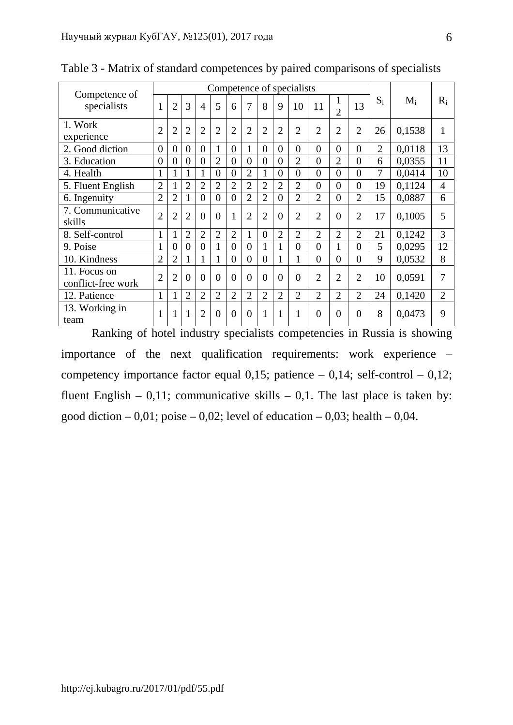| Competence of                      | Competence of specialists |                |                |                |                |                |                |                |                |                |                |                      |                |                |        |                |
|------------------------------------|---------------------------|----------------|----------------|----------------|----------------|----------------|----------------|----------------|----------------|----------------|----------------|----------------------|----------------|----------------|--------|----------------|
| specialists                        | 1                         | $\overline{2}$ | 3              | 4              | 5              | 6              | 7              | 8              | 9              | 10             | 11             | -1<br>$\overline{2}$ | 13             | $S_i$          | $M_i$  | $R_i$          |
| 1. Work<br>experience              | $\overline{2}$            | $\overline{2}$ | $\overline{2}$ | $\overline{2}$ | $\overline{2}$ | $\overline{2}$ | $\overline{2}$ | $\overline{2}$ | $\overline{2}$ | $\overline{2}$ | $\overline{2}$ | $\overline{2}$       | $\overline{2}$ | 26             | 0,1538 | $\mathbf{1}$   |
| 2. Good diction                    | $\overline{0}$            | $\theta$       | $\overline{0}$ | $\overline{0}$ | $\mathbf{1}$   | $\Omega$       |                | $\Omega$       | $\theta$       | 0              | $\Omega$       | $\overline{0}$       | $\overline{0}$ | $\overline{2}$ | 0.0118 | 13             |
| 3. Education                       | $\overline{0}$            | $\Omega$       | $\theta$       | $\overline{0}$ | $\overline{2}$ | $\theta$       | $\theta$       | $\theta$       | $\theta$       | $\overline{2}$ | $\Omega$       | $\overline{2}$       | $\overline{0}$ | 6              | 0.0355 | 11             |
| 4. Health                          | 1                         | 1              | 1              | 1              | $\overline{0}$ | $\Omega$       | $\overline{2}$ | 1              | $\theta$       | 0              | $\Omega$       | $\overline{0}$       | $\overline{0}$ | 7              | 0,0414 | 10             |
| 5. Fluent English                  | $\overline{2}$            | I              | $\overline{2}$ | $\overline{2}$ | $\overline{2}$ | $\overline{2}$ | $\overline{2}$ | $\overline{2}$ | $\overline{2}$ | $\overline{2}$ | $\Omega$       | $\theta$             | $\overline{0}$ | 19             | 0,1124 | $\overline{4}$ |
| 6. Ingenuity                       | $\overline{2}$            | $\overline{2}$ | 1              | $\theta$       | $\overline{0}$ | $\Omega$       | $\overline{2}$ | $\overline{2}$ | $\overline{0}$ | $\overline{2}$ | $\overline{2}$ | $\overline{0}$       | $\overline{2}$ | 15             | 0,0887 | 6              |
| 7. Communicative<br>skills         | $\overline{2}$            | $\overline{2}$ | $\overline{2}$ | $\theta$       | $\theta$       |                | $\overline{2}$ | $\overline{2}$ | $\Omega$       | $\overline{2}$ | $\overline{2}$ | $\theta$             | $\overline{2}$ | 17             | 0,1005 | 5              |
| 8. Self-control                    | 1                         | $\mathbf{I}$   | $\overline{2}$ | $\overline{2}$ | $\overline{2}$ | $\overline{2}$ | $\mathbf{1}$   | $\theta$       | $\overline{2}$ | $\overline{2}$ | $\overline{2}$ | $\overline{2}$       | $\overline{2}$ | 21             | 0,1242 | 3              |
| 9. Poise                           | 1                         | $\overline{0}$ | $\overline{0}$ | $\overline{0}$ |                | $\theta$       | $\overline{0}$ | 1              |                | 0              | $\Omega$       | 1                    | $\overline{0}$ | 5              | 0,0295 | 12             |
| 10. Kindness                       | $\overline{2}$            | $\overline{2}$ | 1              | 1              |                | $\Omega$       | $\theta$       | $\theta$       |                |                | $\Omega$       | $\theta$             | $\overline{0}$ | 9              | 0,0532 | 8              |
| 11. Focus on<br>conflict-free work | $\overline{2}$            | $\overline{2}$ | $\theta$       | $\theta$       | $\overline{0}$ | $\overline{0}$ | $\theta$       | $\theta$       | $\theta$       | 0              | $\overline{2}$ | $\overline{2}$       | $\overline{2}$ | 10             | 0,0591 | 7              |
| 12. Patience                       | 1                         |                | $\overline{2}$ | $\overline{2}$ | $\overline{2}$ | $\overline{2}$ | $\overline{2}$ | $\overline{2}$ | $\overline{2}$ | $\overline{2}$ | $\overline{2}$ | $\overline{2}$       | $\overline{2}$ | 24             | 0,1420 | $\overline{2}$ |
| 13. Working in<br>team             |                           |                | $\mathbf{1}$   | $\overline{2}$ | $\overline{0}$ | $\Omega$       | $\Omega$       | 1              | 1              | 1              | $\Omega$       | $\theta$             | $\theta$       | 8              | 0,0473 | 9              |

Table 3 - Matrix of standard competences by paired comparisons of specialists

Ranking of hotel industry specialists competencies in Russia is showing importance of the next qualification requirements: work experience – competency importance factor equal 0,15; patience  $-$  0,14; self-control  $-$  0,12; fluent English – 0,11; communicative skills – 0,1. The last place is taken by: good diction – 0,01; poise – 0,02; level of education – 0,03; health – 0,04.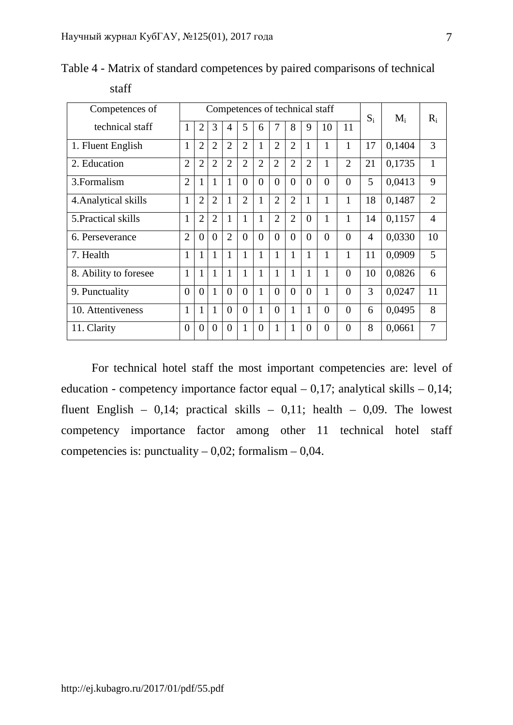| Competences of        |                |                |                |                |                |                |                |                |                | Competences of technical staff |                | $S_i$          | $M_i$  | $R_i$          |
|-----------------------|----------------|----------------|----------------|----------------|----------------|----------------|----------------|----------------|----------------|--------------------------------|----------------|----------------|--------|----------------|
| technical staff       | 1              | $\overline{2}$ | 3              | $\overline{4}$ | 5              | 6              | 7              | 8              | 9              | 10                             | 11             |                |        |                |
| 1. Fluent English     | 1              | $\overline{2}$ | $\overline{2}$ | $\overline{2}$ | $\overline{2}$ | $\mathbf{1}$   | $\overline{2}$ | $\overline{2}$ | 1              | 1                              | 1              | 17             | 0,1404 | 3              |
| 2. Education          | $\overline{2}$ | $\overline{2}$ | $\overline{2}$ | $\overline{2}$ | $\overline{2}$ | $\overline{2}$ | $\overline{2}$ | $\overline{2}$ | $\overline{2}$ | 1                              | $\overline{2}$ | 21             | 0,1735 | 1              |
| 3. Formalism          | $\overline{2}$ | 1              | $\mathbf{1}$   | $\mathbf{1}$   | $\theta$       | $\theta$       | $\theta$       | $\theta$       | $\theta$       | $\theta$                       | $\theta$       | 5              | 0,0413 | 9              |
| 4. Analytical skills  | 1              | $\overline{2}$ | $\overline{2}$ | $\mathbf{1}$   | $\overline{2}$ | 1              | $\overline{2}$ | $\overline{2}$ | 1              | 1                              | 1              | 18             | 0,1487 | $\overline{2}$ |
| 5. Practical skills   | $\mathbf{1}$   | $\overline{2}$ | $\overline{2}$ | $\mathbf{1}$   | 1              | 1              | $\overline{2}$ | $\overline{2}$ | $\theta$       | 1                              | $\mathbf{1}$   | 14             | 0,1157 | 4              |
| 6. Perseverance       | $\overline{2}$ | $\Omega$       | $\theta$       | $\overline{2}$ | $\theta$       | $\theta$       | $\theta$       | $\theta$       | $\theta$       | $\theta$                       | $\theta$       | $\overline{4}$ | 0,0330 | 10             |
| 7. Health             | 1              | 1              | 1              | 1              | 1              | 1              | 1              | 1              | 1              | 1                              | $\mathbf{1}$   | 11             | 0,0909 | 5              |
| 8. Ability to foresee | 1              | 1              | 1              | 1              | 1              | 1              | 1              | 1              | 1              | 1                              | $\theta$       | 10             | 0,0826 | 6              |
| 9. Punctuality        | $\Omega$       | $\Omega$       | 1              | $\theta$       | $\theta$       | 1              | $\theta$       | $\Omega$       | $\theta$       | 1                              | $\theta$       | 3              | 0,0247 | 11             |
| 10. Attentiveness     | 1              | 1              | 1              | $\theta$       | $\theta$       | 1              | $\theta$       | 1              | 1              | $\theta$                       | $\theta$       | 6              | 0,0495 | 8              |
| 11. Clarity           | $\theta$       | $\overline{0}$ | $\overline{0}$ | $\overline{0}$ | 1              | $\overline{0}$ | 1              | $\mathbf{1}$   | $\Omega$       | $\theta$                       | $\overline{0}$ | 8              | 0,0661 | 7              |

Table 4 - Matrix of standard competences by paired comparisons of technical

### staff

For technical hotel staff the most important competencies are: level of education - competency importance factor equal  $-0.17$ ; analytical skills  $-0.14$ ; fluent English – 0,14; practical skills – 0,11; health – 0,09. The lowest competency importance factor among other 11 technical hotel staff competencies is: punctuality  $-0.02$ ; formalism  $-0.04$ .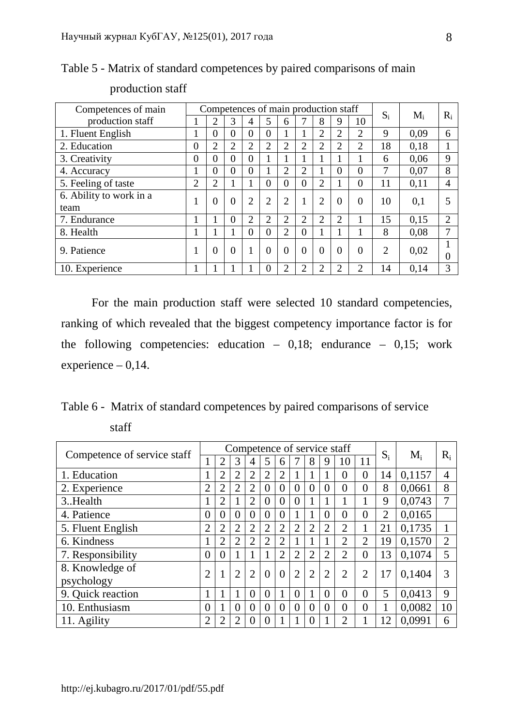| Competences of main     | Competences of main production staff |                |                |                |                  |                |                |                |                |                             |                |       |       |
|-------------------------|--------------------------------------|----------------|----------------|----------------|------------------|----------------|----------------|----------------|----------------|-----------------------------|----------------|-------|-------|
| production staff        | -1                                   | $\overline{2}$ | 3              | 4              | 5                | 6              |                | 8              |                | 10                          | $S_i$          | $M_i$ | $R_i$ |
| 1. Fluent English       | 1                                    | $\Omega$       | 0              | $\theta$       | $\Omega$         |                |                | 2              | $\overline{2}$ | $\overline{2}$              | 9              | 0.09  | 6     |
| 2. Education            | 0                                    | $\overline{2}$ | $\overline{2}$ | 2              | $\overline{2}$   | $\overline{2}$ | $\overline{2}$ | $\overline{2}$ | っ              | $\overline{2}$              | 18             | 0.18  |       |
| 3. Creativity           | $\overline{0}$                       | $\Omega$       | 0              | $\overline{0}$ |                  |                |                |                |                |                             | 6              | 0.06  | 9     |
| 4. Accuracy             | 1                                    | $\Omega$       | 0              | $\theta$       |                  | 2              | $\overline{2}$ |                | $\theta$       | $\theta$                    | 7              | 0.07  | 8     |
| 5. Feeling of taste     | $\overline{2}$                       | $\overline{2}$ | 1              | 1              | $\theta$         | $\Omega$       | $\overline{0}$ | $\overline{2}$ |                | $\Omega$                    | 11             | 0,11  | 4     |
| 6. Ability to work in a | 1                                    | $\Omega$       | $\theta$       | $\overline{2}$ | 2                | $\overline{2}$ | $\mathbf{1}$   | $\overline{2}$ | $\Omega$       | $\Omega$                    | 10             | 0,1   |       |
| team                    |                                      |                |                |                |                  |                |                |                |                |                             |                |       |       |
| 7. Endurance            |                                      |                | 0              | $\overline{2}$ | 2                | $\overline{2}$ | $\overline{2}$ | $\overline{2}$ | $\overline{2}$ |                             | 15             | 0,15  | ↑     |
| 8. Health               | 1                                    |                | 1              | $\theta$       | $\Omega$         | $\overline{2}$ | $\overline{0}$ |                |                |                             | 8              | 0.08  |       |
| 9. Patience             |                                      | $\Omega$       | 0              | 1              | $\theta$         | $\theta$       | $\theta$       | $\theta$       | $\Omega$       | $\Omega$                    | $\overline{2}$ | 0,02  |       |
|                         |                                      |                |                |                |                  |                |                |                |                |                             |                |       | 0     |
| 10. Experience          |                                      |                |                |                | $\left( \right)$ |                | $\overline{c}$ | $\overline{2}$ | っ              | $\mathcal{D}_{\mathcal{L}}$ | 14             | 0.14  |       |

Table 5 - Matrix of standard competences by paired comparisons of main

# production staff

For the main production staff were selected 10 standard competencies, ranking of which revealed that the biggest competency importance factor is for the following competencies: education  $-0.18$ ; endurance  $-0.15$ ; work experience  $-0,14$ .

Table 6 - Matrix of standard competences by paired comparisons of service staff

|                             |                |                |                |                |                |                |                |                |                | Competence of service staff |                |                | $M_i$  |       |
|-----------------------------|----------------|----------------|----------------|----------------|----------------|----------------|----------------|----------------|----------------|-----------------------------|----------------|----------------|--------|-------|
| Competence of service staff | 1              | $\overline{2}$ | 3              | $\overline{4}$ | 5              | 6              |                | 8              | 9              | 10                          | 11             | $S_i$          |        | $R_i$ |
| 1. Education                | 1              | $\overline{2}$ | $\overline{2}$ | $\overline{2}$ | $\overline{2}$ | $\overline{2}$ |                |                |                | $\Omega$                    | $\theta$       | 14             | 0,1157 | 4     |
| 2. Experience               | $\overline{2}$ | $\overline{2}$ | $\overline{2}$ | $\overline{2}$ | $\overline{0}$ | $\overline{0}$ | $\theta$       | $\Omega$       | $\mathbf 0$    | $\theta$                    | $\theta$       | 8              | 0,0661 | 8     |
| 3. Health                   | 1              | $\overline{2}$ |                | $\overline{2}$ | $\theta$       | $\Omega$       | $\Omega$       |                |                |                             |                | 9              | 0.0743 |       |
| 4. Patience                 | $\overline{0}$ | $\overline{0}$ | $\theta$       | 0              | $\overline{0}$ | $\theta$       |                |                | $\theta$       | $\theta$                    | $\theta$       | $\overline{2}$ | 0,0165 |       |
| 5. Fluent English           | $\overline{2}$ | $\overline{2}$ | $\overline{2}$ | $\overline{2}$ | $\overline{2}$ | $\overline{2}$ | $\overline{2}$ | $\overline{2}$ | $\overline{2}$ | $\overline{2}$              |                | 21             | 0,1735 |       |
| 6. Kindness                 | 1              | $\overline{2}$ | $\overline{2}$ | $\overline{2}$ | $\overline{2}$ | $\overline{2}$ |                |                | 1              | $\overline{2}$              | 2              | 19             | 0,1570 | 2     |
| 7. Responsibility           | $\overline{0}$ | $\theta$       |                |                |                | $\overline{2}$ | $\overline{2}$ | $\overline{2}$ | $\overline{2}$ | $\overline{2}$              | $\theta$       | 13             | 0.1074 | 5     |
| 8. Knowledge of             | $\overline{2}$ |                | $\overline{2}$ | $\overline{2}$ | $\theta$       | $\overline{0}$ | $\overline{2}$ | $\overline{2}$ | $\overline{2}$ | $\overline{2}$              | $\overline{2}$ | 17             | 0.1404 |       |
| psychology                  |                |                |                |                |                |                |                |                |                |                             |                |                |        |       |
| 9. Quick reaction           | 1              |                |                | $\theta$       | $\theta$       | 1              | $\overline{0}$ |                | $\overline{0}$ | $\Omega$                    | $\theta$       | 5              | 0.0413 | 9     |
| 10. Enthusiasm              | $\overline{0}$ |                | $\Omega$       | $\Omega$       | $\theta$       | $\overline{0}$ | $\theta$       | $\theta$       | $\theta$       | $\theta$                    | $\overline{0}$ |                | 0,0082 | 10    |
| 11. Agility                 | $\overline{2}$ | $\overline{2}$ | $\overline{2}$ | $\cup$         | $\theta$       |                |                | $\Omega$       |                | $\overline{2}$              |                | 12             | 0.0991 | 6     |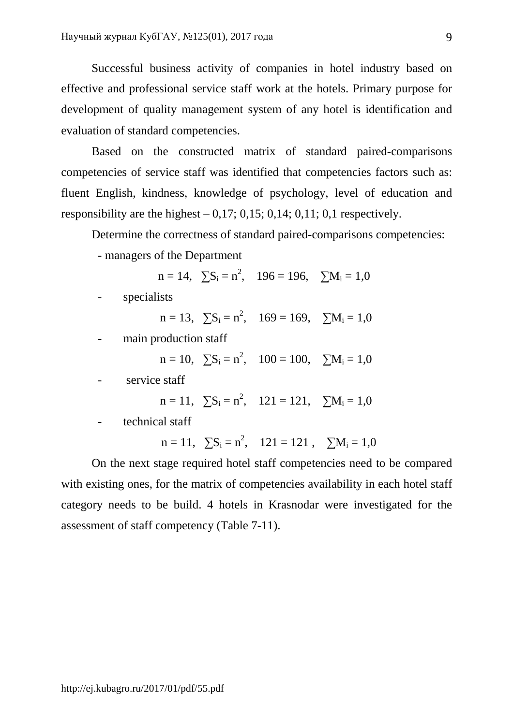Successful business activity of companies in hotel industry based on effective and professional service staff work at the hotels. Primary purpose for development of quality management system of any hotel is identification and evaluation of standard competencies.

Based on the constructed matrix of standard paired-comparisons competencies of service staff was identified that competencies factors such as: fluent English, kindness, knowledge of psychology, level of education and responsibility are the highest  $-0.17$ ; 0.15; 0.14; 0.11; 0.1 respectively.

Determine the correctness of standard paired-comparisons competencies:

- managers of the Department

 $n = 14$ ,  $\sum S_i = n^2$ ,  $196 = 196$ ,  $\sum M_i = 1.0$ 

- specialists

 $n = 13$ ,  $\sum S_i = n^2$ ,  $169 = 169$ ,  $\sum M_i = 1,0$ 

main production staff

 $n = 10$ ,  $\sum S_i = n^2$ ,  $100 = 100$ ,  $\sum M_i = 1,0$ 

- service staff

$$
n = 11, \quad \sum S_i = n^2, \quad 121 = 121, \quad \sum M_i = 1,0
$$

- technical staff

 $n = 11$ ,  $\sum S_i = n^2$ ,  $121 = 121$ ,  $\sum M_i = 1,0$ 

On the next stage required hotel staff competencies need to be compared with existing ones, for the matrix of competencies availability in each hotel staff category needs to be build. 4 hotels in Krasnodar were investigated for the assessment of staff competency (Table 7-11).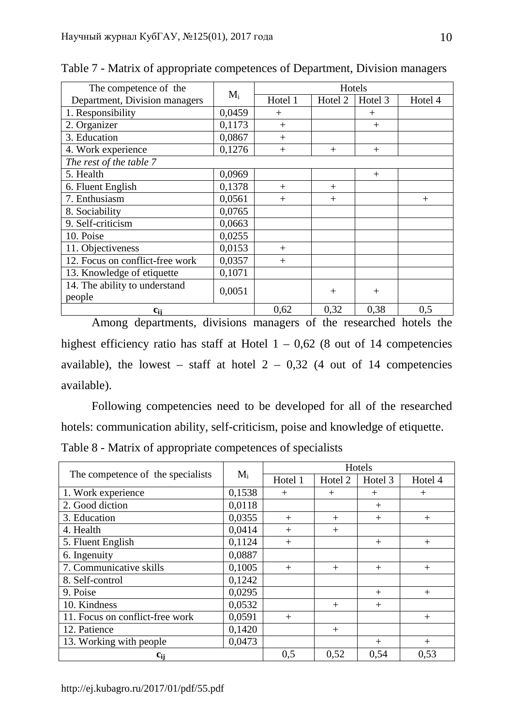| The competence of the           |        | Hotels<br>$M_i$ |                    |         |         |  |
|---------------------------------|--------|-----------------|--------------------|---------|---------|--|
| Department, Division managers   |        | Hotel 1         | Hotel <sub>2</sub> | Hotel 3 | Hotel 4 |  |
| 1. Responsibility               | 0,0459 | $+$             |                    | $^{+}$  |         |  |
| 2. Organizer                    | 0,1173 | $+$             |                    | $+$     |         |  |
| 3. Education                    | 0,0867 | $+$             |                    |         |         |  |
| 4. Work experience              | 0,1276 | $+$             | $+$                | $+$     |         |  |
| The rest of the table 7         |        |                 |                    |         |         |  |
| 5. Health                       | 0,0969 |                 |                    | $^{+}$  |         |  |
| 6. Fluent English               | 0,1378 | $^{+}$          | $^{+}$             |         |         |  |
| 7. Enthusiasm                   | 0,0561 | $+$             | $^{+}$             |         | $^{+}$  |  |
| 8. Sociability                  | 0,0765 |                 |                    |         |         |  |
| 9. Self-criticism               | 0,0663 |                 |                    |         |         |  |
| 10. Poise                       | 0,0255 |                 |                    |         |         |  |
| 11. Objectiveness               | 0,0153 | $+$             |                    |         |         |  |
| 12. Focus on conflict-free work | 0,0357 | $+$             |                    |         |         |  |
| 13. Knowledge of etiquette      | 0,1071 |                 |                    |         |         |  |
| 14. The ability to understand   | 0,0051 |                 |                    |         |         |  |
| people                          |        |                 | $^{+}$             | $+$     |         |  |
| $c_{ii}$                        |        | 0,62            | 0,32               | 0,38    | 0,5     |  |

Table 7 - Matrix of appropriate competences of Department, Division managers

Among departments, divisions managers of the researched hotels the highest efficiency ratio has staff at Hotel  $1 - 0.62$  (8 out of 14 competencies available), the lowest – staff at hotel  $2 - 0.32$  (4 out of 14 competencies available).

Following competencies need to be developed for all of the researched hotels: communication ability, self-criticism, poise and knowledge of etiquette. Table 8 - Matrix of appropriate competences of specialists

|                                   |        |         |         | Hotels  |         |
|-----------------------------------|--------|---------|---------|---------|---------|
| The competence of the specialists | $M_i$  | Hotel 1 | Hotel 2 | Hotel 3 | Hotel 4 |
| 1. Work experience                | 0,1538 | $+$     | $^{+}$  | $^{+}$  | $^{+}$  |
| 2. Good diction                   | 0,0118 |         |         | $+$     |         |
| 3. Education                      | 0,0355 | $^{+}$  | $^{+}$  | $^{+}$  | $^{+}$  |
| 4. Health                         | 0,0414 | $^{+}$  | $^{+}$  |         |         |
| 5. Fluent English                 | 0,1124 | $^{+}$  |         | $+$     | $^{+}$  |
| 6. Ingenuity                      | 0,0887 |         |         |         |         |
| 7. Communicative skills           | 0,1005 | $+$     | $+$     | $+$     | $^{+}$  |
| 8. Self-control                   | 0,1242 |         |         |         |         |
| 9. Poise                          | 0,0295 |         |         | $^{+}$  | $^{+}$  |
| 10. Kindness                      | 0,0532 |         | $^{+}$  | $+$     |         |
| 11. Focus on conflict-free work   | 0,0591 | $^{+}$  |         |         | $^{+}$  |
| 12. Patience                      | 0,1420 |         | $^{+}$  |         |         |
| 13. Working with people           | 0,0473 |         |         | $+$     | $^{+}$  |
| $c_{ij}$                          |        | 0,5     | 0,52    | 0,54    | 0,53    |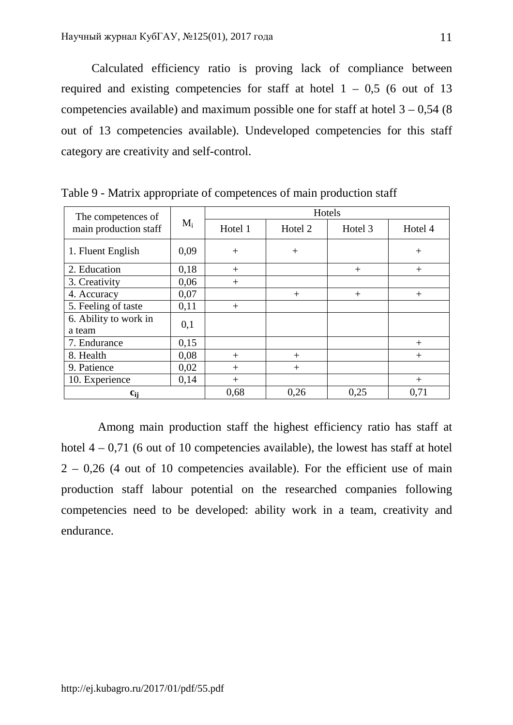Calculated efficiency ratio is proving lack of compliance between required and existing competencies for staff at hotel  $1 - 0.5$  (6 out of 13) competencies available) and maximum possible one for staff at hotel  $3 - 0.54$  (8) out of 13 competencies available). Undeveloped competencies for this staff category are creativity and self-control.

| The competences of    |       |         |         | Hotels  |         |
|-----------------------|-------|---------|---------|---------|---------|
| main production staff | $M_i$ | Hotel 1 | Hotel 2 | Hotel 3 | Hotel 4 |
| 1. Fluent English     | 0,09  | $+$     | $+$     |         | $+$     |
| 2. Education          | 0,18  | $^{+}$  |         | $^{+}$  | $^{+}$  |
| 3. Creativity         | 0,06  | $^{+}$  |         |         |         |
| 4. Accuracy           | 0,07  |         | $+$     | $+$     | $^{+}$  |
| 5. Feeling of taste   | 0,11  | $^{+}$  |         |         |         |
| 6. Ability to work in | 0,1   |         |         |         |         |
| a team                |       |         |         |         |         |
| 7. Endurance          | 0,15  |         |         |         | $^{+}$  |
| 8. Health             | 0,08  | $^{+}$  | $^{+}$  |         | $^{+}$  |
| 9. Patience           | 0,02  | $^{+}$  | $+$     |         |         |
| 10. Experience        | 0,14  | $+$     |         |         | $^{+}$  |
| $c_{ii}$              |       | 0,68    | 0,26    | 0,25    | 0,71    |

Table 9 - Matrix appropriate of competences of main production staff

Among main production staff the highest efficiency ratio has staff at hotel  $4 - 0.71$  (6 out of 10 competencies available), the lowest has staff at hotel  $2 - 0.26$  (4 out of 10 competencies available). For the efficient use of main production staff labour potential on the researched companies following competencies need to be developed: ability work in a team, creativity and endurance.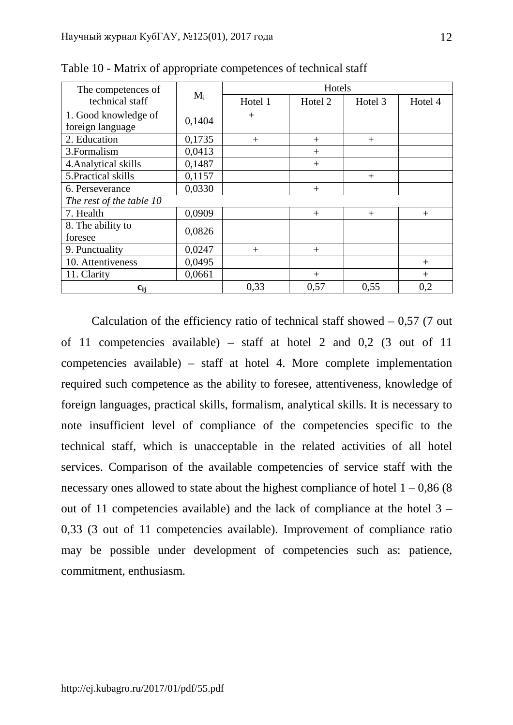| The competences of       |        |         | Hotels  |         |         |
|--------------------------|--------|---------|---------|---------|---------|
| technical staff          | $M_i$  | Hotel 1 | Hotel 2 | Hotel 3 | Hotel 4 |
| 1. Good knowledge of     | 0,1404 | $^{+}$  |         |         |         |
| foreign language         |        |         |         |         |         |
| 2. Education             | 0,1735 | $+$     | $^{+}$  | $+$     |         |
| 3. Formalism             | 0,0413 |         | $^{+}$  |         |         |
| 4. Analytical skills     | 0,1487 |         | $^{+}$  |         |         |
| 5. Practical skills      | 0,1157 |         |         | $+$     |         |
| 6. Perseverance          | 0,0330 |         | $^{+}$  |         |         |
| The rest of the table 10 |        |         |         |         |         |
| 7. Health                | 0,0909 |         | $^{+}$  | $+$     | $+$     |
| 8. The ability to        | 0,0826 |         |         |         |         |
| foresee                  |        |         |         |         |         |
| 9. Punctuality           | 0,0247 | $^{+}$  | $^{+}$  |         |         |
| 10. Attentiveness        | 0,0495 |         |         |         | $^{+}$  |
| 11. Clarity              | 0,0661 |         | $^{+}$  |         | $^{+}$  |
| $c_{ii}$                 |        | 0,33    | 0,57    | 0,55    | 0,2     |

Table 10 - Matrix of appropriate competences of technical staff

Calculation of the efficiency ratio of technical staff showed  $-0.57$  (7 out of 11 competencies available) – staff at hotel 2 and 0,2 (3 out of 11 competencies available) – staff at hotel 4. More complete implementation required such competence as the ability to foresee, attentiveness, knowledge of foreign languages, practical skills, formalism, analytical skills. It is necessary to note insufficient level of compliance of the competencies specific to the technical staff, which is unacceptable in the related activities of all hotel services. Comparison of the available competencies of service staff with the necessary ones allowed to state about the highest compliance of hotel  $1 - 0.86$  (8) out of 11 competencies available) and the lack of compliance at the hotel 3 – 0,33 (3 out of 11 competencies available). Improvement of compliance ratio may be possible under development of competencies such as: patience, commitment, enthusiasm.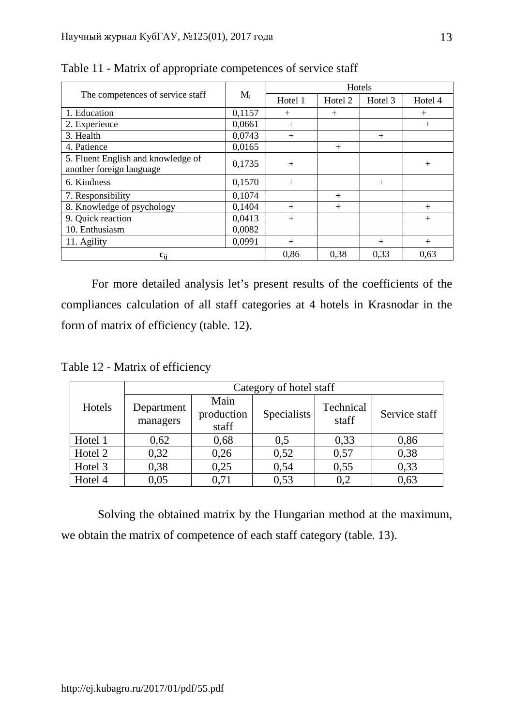|                                                                |        |         | Hotels             |         |         |
|----------------------------------------------------------------|--------|---------|--------------------|---------|---------|
| The competences of service staff                               | $M_i$  | Hotel 1 | Hotel <sub>2</sub> | Hotel 3 | Hotel 4 |
| 1. Education                                                   | 0,1157 | $^{+}$  | $^{+}$             |         | $^{+}$  |
| 2. Experience                                                  | 0,0661 | $+$     |                    |         | $^{+}$  |
| 3. Health                                                      | 0,0743 | $+$     |                    | $+$     |         |
| 4. Patience                                                    | 0,0165 |         | $+$                |         |         |
| 5. Fluent English and knowledge of<br>another foreign language | 0,1735 | $+$     |                    |         | $^{+}$  |
| 6. Kindness                                                    | 0,1570 | $+$     |                    | $+$     |         |
| 7. Responsibility                                              | 0,1074 |         | $+$                |         |         |
| 8. Knowledge of psychology                                     | 0,1404 | $+$     | $+$                |         | $^{+}$  |
| 9. Quick reaction                                              | 0,0413 | $^{+}$  |                    |         | $^{+}$  |
| 10. Enthusiasm                                                 | 0,0082 |         |                    |         |         |
| 11. Agility                                                    | 0,0991 | $^{+}$  |                    | $^{+}$  | $^{+}$  |
| $c_{ii}$                                                       |        | 0,86    | 0.38               | 0.33    | 0.63    |

Table 11 - Matrix of appropriate competences of service staff

For more detailed analysis let's present results of the coefficients of the compliances calculation of all staff categories at 4 hotels in Krasnodar in the form of matrix of efficiency (table. 12).

Table 12 - Matrix of efficiency

|         |                        |                             | Category of hotel staff |                    |               |
|---------|------------------------|-----------------------------|-------------------------|--------------------|---------------|
| Hotels  | Department<br>managers | Main<br>production<br>staff | Specialists             | Technical<br>staff | Service staff |
| Hotel 1 | 0,62                   | 0,68                        | 0,5                     | 0,33               | 0,86          |
| Hotel 2 | 0,32                   | 0,26                        | 0,52                    | 0,57               | 0,38          |
| Hotel 3 | 0,38                   | 0,25                        | 0,54                    | 0,55               | 0,33          |
| Hotel 4 | 0,05                   | 0,71                        | 0,53                    | 0.2                | 0,63          |

Solving the obtained matrix by the Hungarian method at the maximum, we obtain the matrix of competence of each staff category (table. 13).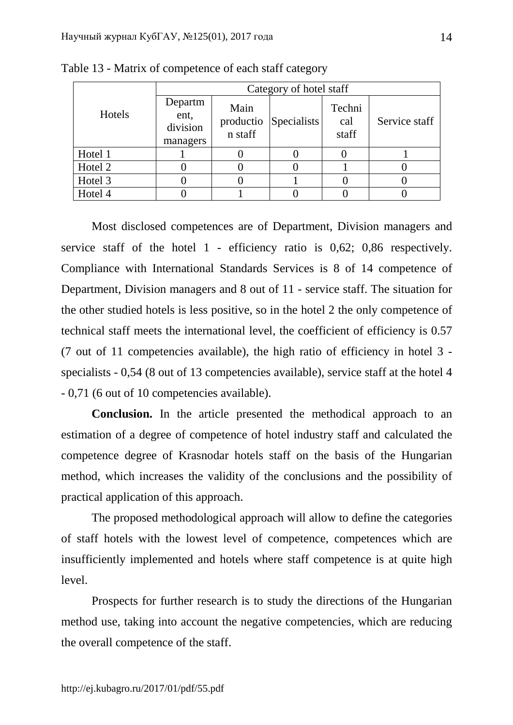|         | Category of hotel staff                 |                              |             |                        |               |
|---------|-----------------------------------------|------------------------------|-------------|------------------------|---------------|
| Hotels  | Departm<br>ent,<br>division<br>managers | Main<br>productio<br>n staff | Specialists | Techni<br>cal<br>staff | Service staff |
| Hotel 1 |                                         |                              |             |                        |               |
| Hotel 2 |                                         |                              |             |                        |               |
| Hotel 3 |                                         |                              |             |                        |               |
| Hotel 4 |                                         |                              |             |                        |               |

Table 13 - Matrix of competence of each staff category

Most disclosed competences are of Department, Division managers and service staff of the hotel 1 - efficiency ratio is 0,62; 0,86 respectively. Compliance with International Standards Services is 8 of 14 competence of Department, Division managers and 8 out of 11 - service staff. The situation for the other studied hotels is less positive, so in the hotel 2 the only competence of technical staff meets the international level, the coefficient of efficiency is 0.57 (7 out of 11 competencies available), the high ratio of efficiency in hotel 3 specialists - 0,54 (8 out of 13 competencies available), service staff at the hotel 4 - 0,71 (6 out of 10 competencies available).

**Conclusion.** In the article presented the methodical approach to an estimation of a degree of competence of hotel industry staff and calculated the competence degree of Krasnodar hotels staff on the basis of the Hungarian method, which increases the validity of the conclusions and the possibility of practical application of this approach.

The proposed methodological approach will allow to define the categories of staff hotels with the lowest level of competence, competences which are insufficiently implemented and hotels where staff competence is at quite high level.

Prospects for further research is to study the directions of the Hungarian method use, taking into account the negative competencies, which are reducing the overall competence of the staff.